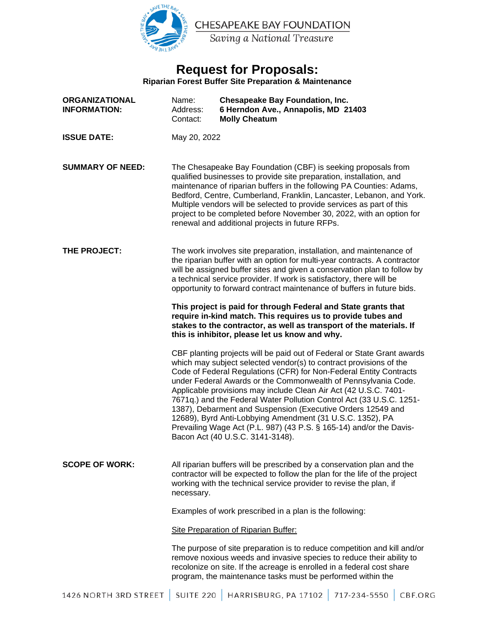

# **Request for Proposals:**

**Riparian Forest Buffer Site Preparation & Maintenance** 

| <b>ORGANIZATIONAL</b><br><b>INFORMATION:</b> | Name:<br>Address:<br>Contact:                                                                                                                                                                                                                                                                                                                                                                                                                                                                                                                                                                                                                                            | <b>Chesapeake Bay Foundation, Inc.</b><br>6 Herndon Ave., Annapolis, MD 21403<br><b>Molly Cheatum</b> |              |         |
|----------------------------------------------|--------------------------------------------------------------------------------------------------------------------------------------------------------------------------------------------------------------------------------------------------------------------------------------------------------------------------------------------------------------------------------------------------------------------------------------------------------------------------------------------------------------------------------------------------------------------------------------------------------------------------------------------------------------------------|-------------------------------------------------------------------------------------------------------|--------------|---------|
| <b>ISSUE DATE:</b>                           | May 20, 2022                                                                                                                                                                                                                                                                                                                                                                                                                                                                                                                                                                                                                                                             |                                                                                                       |              |         |
| <b>SUMMARY OF NEED:</b>                      | The Chesapeake Bay Foundation (CBF) is seeking proposals from<br>qualified businesses to provide site preparation, installation, and<br>maintenance of riparian buffers in the following PA Counties: Adams,<br>Bedford, Centre, Cumberland, Franklin, Lancaster, Lebanon, and York.<br>Multiple vendors will be selected to provide services as part of this<br>project to be completed before November 30, 2022, with an option for<br>renewal and additional projects in future RFPs.                                                                                                                                                                                 |                                                                                                       |              |         |
| THE PROJECT:                                 | The work involves site preparation, installation, and maintenance of<br>the riparian buffer with an option for multi-year contracts. A contractor<br>will be assigned buffer sites and given a conservation plan to follow by<br>a technical service provider. If work is satisfactory, there will be<br>opportunity to forward contract maintenance of buffers in future bids.                                                                                                                                                                                                                                                                                          |                                                                                                       |              |         |
|                                              | This project is paid for through Federal and State grants that<br>require in-kind match. This requires us to provide tubes and<br>stakes to the contractor, as well as transport of the materials. If<br>this is inhibitor, please let us know and why.                                                                                                                                                                                                                                                                                                                                                                                                                  |                                                                                                       |              |         |
|                                              | CBF planting projects will be paid out of Federal or State Grant awards<br>which may subject selected vendor(s) to contract provisions of the<br>Code of Federal Regulations (CFR) for Non-Federal Entity Contracts<br>under Federal Awards or the Commonwealth of Pennsylvania Code.<br>Applicable provisions may include Clean Air Act (42 U.S.C. 7401-<br>7671q.) and the Federal Water Pollution Control Act (33 U.S.C. 1251-<br>1387), Debarment and Suspension (Executive Orders 12549 and<br>12689), Byrd Anti-Lobbying Amendment (31 U.S.C. 1352), PA<br>Prevailing Wage Act (P.L. 987) (43 P.S. § 165-14) and/or the Davis-<br>Bacon Act (40 U.S.C. 3141-3148). |                                                                                                       |              |         |
| <b>SCOPE OF WORK:</b>                        | All riparian buffers will be prescribed by a conservation plan and the<br>contractor will be expected to follow the plan for the life of the project<br>working with the technical service provider to revise the plan, if<br>necessary.                                                                                                                                                                                                                                                                                                                                                                                                                                 |                                                                                                       |              |         |
|                                              | Examples of work prescribed in a plan is the following:                                                                                                                                                                                                                                                                                                                                                                                                                                                                                                                                                                                                                  |                                                                                                       |              |         |
|                                              | <b>Site Preparation of Riparian Buffer:</b>                                                                                                                                                                                                                                                                                                                                                                                                                                                                                                                                                                                                                              |                                                                                                       |              |         |
|                                              | The purpose of site preparation is to reduce competition and kill and/or<br>remove noxious weeds and invasive species to reduce their ability to<br>recolonize on site. If the acreage is enrolled in a federal cost share<br>program, the maintenance tasks must be performed within the                                                                                                                                                                                                                                                                                                                                                                                |                                                                                                       |              |         |
| 1426 NORTH 3RD STREET                        | <b>SUITE 220</b>                                                                                                                                                                                                                                                                                                                                                                                                                                                                                                                                                                                                                                                         | HARRISBURG, PA 17102                                                                                  | 717-234-5550 | CBF.ORG |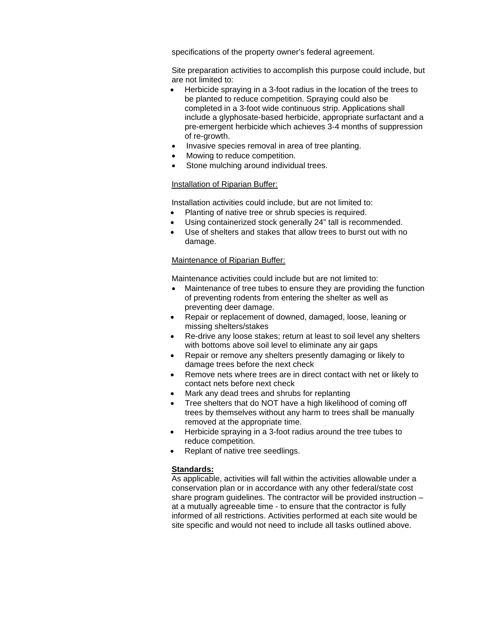specifications of the property owner's federal agreement.

Site preparation activities to accomplish this purpose could include, but are not limited to:

- Herbicide spraying in a 3-foot radius in the location of the trees to be planted to reduce competition. Spraying could also be completed in a 3-foot wide continuous strip. Applications shall include a glyphosate-based herbicide, appropriate surfactant and a pre-emergent herbicide which achieves 3-4 months of suppression of re-growth.
- Invasive species removal in area of tree planting.
- Mowing to reduce competition.
- Stone mulching around individual trees.

#### Installation of Riparian Buffer:

Installation activities could include, but are not limited to:

- Planting of native tree or shrub species is required.
- Using containerized stock generally 24" tall is recommended.
- Use of shelters and stakes that allow trees to burst out with no damage.

#### Maintenance of Riparian Buffer:

Maintenance activities could include but are not limited to:

- Maintenance of tree tubes to ensure they are providing the function of preventing rodents from entering the shelter as well as preventing deer damage.
- Repair or replacement of downed, damaged, loose, leaning or missing shelters/stakes
- Re-drive any loose stakes; return at least to soil level any shelters with bottoms above soil level to eliminate any air gaps
- Repair or remove any shelters presently damaging or likely to damage trees before the next check
- Remove nets where trees are in direct contact with net or likely to contact nets before next check
- Mark any dead trees and shrubs for replanting
- Tree shelters that do NOT have a high likelihood of coming off trees by themselves without any harm to trees shall be manually removed at the appropriate time.
- Herbicide spraying in a 3-foot radius around the tree tubes to reduce competition.
- Replant of native tree seedlings.

#### **Standards:**

As applicable, activities will fall within the activities allowable under a conservation plan or in accordance with any other federal/state cost share program guidelines. The contractor will be provided instruction – at a mutually agreeable time - to ensure that the contractor is fully informed of all restrictions. Activities performed at each site would be site specific and would not need to include all tasks outlined above.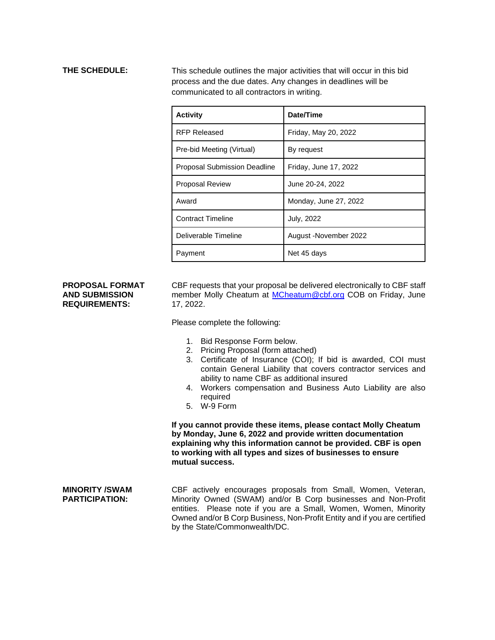**THE SCHEDULE:** This schedule outlines the major activities that will occur in this bid process and the due dates. Any changes in deadlines will be communicated to all contractors in writing.

| <b>Activity</b>                     | Date/Time              |  |
|-------------------------------------|------------------------|--|
| <b>RFP Released</b>                 | Friday, May 20, 2022   |  |
| Pre-bid Meeting (Virtual)           | By request             |  |
| <b>Proposal Submission Deadline</b> | Friday, June 17, 2022  |  |
| <b>Proposal Review</b>              | June 20-24, 2022       |  |
| Award                               | Monday, June 27, 2022  |  |
| <b>Contract Timeline</b>            | July, 2022             |  |
| Deliverable Timeline                | August - November 2022 |  |
| Payment                             | Net 45 days            |  |

### **PROPOSAL FORMAT AND SUBMISSION REQUIREMENTS:**

CBF requests that your proposal be delivered electronically to CBF staff member Molly Cheatum at [MCheatum@cbf.org](mailto:MCheatum@cbf.org) COB on Friday, June 17, 2022.

Please complete the following:

- 1. Bid Response Form below.
- 2. Pricing Proposal (form attached)
- 3. Certificate of Insurance (COI); If bid is awarded, COI must contain General Liability that covers contractor services and ability to name CBF as additional insured
- 4. Workers compensation and Business Auto Liability are also required
- 5. W-9 Form

**If you cannot provide these items, please contact Molly Cheatum by Monday, June 6, 2022 and provide written documentation explaining why this information cannot be provided. CBF is open to working with all types and sizes of businesses to ensure mutual success.**

**MINORITY /SWAM PARTICIPATION:**  CBF actively encourages proposals from Small, Women, Veteran, Minority Owned (SWAM) and/or B Corp businesses and Non-Profit entities. Please note if you are a Small, Women, Women, Minority Owned and/or B Corp Business, Non-Profit Entity and if you are certified by the State/Commonwealth/DC.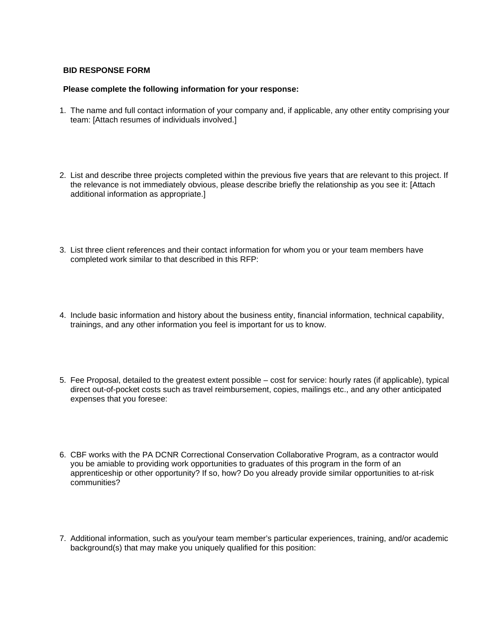# **BID RESPONSE FORM**

### **Please complete the following information for your response:**

- 1. The name and full contact information of your company and, if applicable, any other entity comprising your team: [Attach resumes of individuals involved.]
- 2. List and describe three projects completed within the previous five years that are relevant to this project. If the relevance is not immediately obvious, please describe briefly the relationship as you see it: [Attach additional information as appropriate.]
- 3. List three client references and their contact information for whom you or your team members have completed work similar to that described in this RFP:
- 4. Include basic information and history about the business entity, financial information, technical capability, trainings, and any other information you feel is important for us to know.
- 5. Fee Proposal, detailed to the greatest extent possible cost for service: hourly rates (if applicable), typical direct out-of-pocket costs such as travel reimbursement, copies, mailings etc., and any other anticipated expenses that you foresee:
- 6. CBF works with the PA DCNR Correctional Conservation Collaborative Program, as a contractor would you be amiable to providing work opportunities to graduates of this program in the form of an apprenticeship or other opportunity? If so, how? Do you already provide similar opportunities to at-risk communities?
- 7. Additional information, such as you/your team member's particular experiences, training, and/or academic background(s) that may make you uniquely qualified for this position: